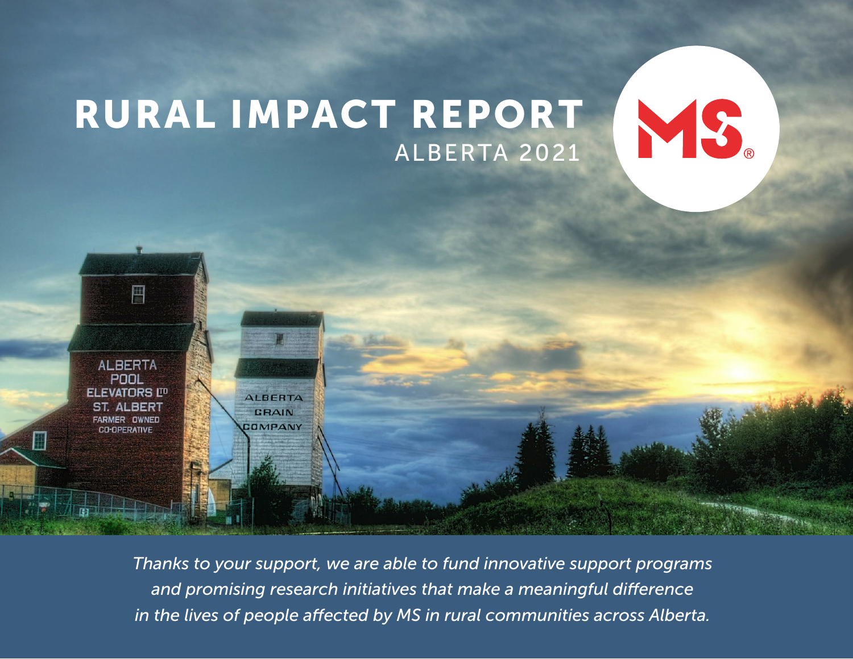### ALBERTA 2021 RURAL IMPACT REPORT

MS.

**ALBERTA POOL ELEVATORS LID ST. ALBERT FARMER OWNED CO-OPERATIVE** 

画

**ALBERTA** GRAIN COMPANY

*Thanks to your support, we are able to fund innovative support programs and promising research initiatives that make a meaningful difference in the lives of people affected by MS in rural communities across Alberta.*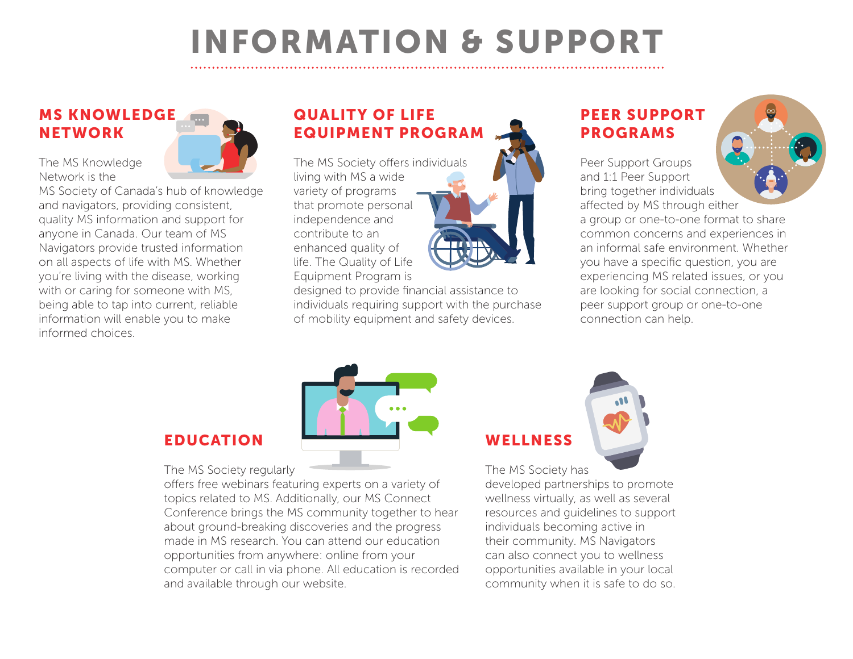# INFORMATION & SUPPORT

#### MS KNOWLEDGE NETWORK

The MS Knowledge Network is the



MS Society of Canada's hub of knowledge and navigators, providing consistent, quality MS information and support for anyone in Canada. Our team of MS Navigators provide trusted information on all aspects of life with MS. Whether you're living with the disease, working with or caring for someone with MS, being able to tap into current, reliable information will enable you to make informed choices.

#### QUALITY OF LIFE EQUIPMENT PROGRAM

The MS Society offers individuals living with MS a wide variety of programs that promote personal independence and contribute to an enhanced quality of life. The Quality of Life Equipment Program is



designed to provide financial assistance to individuals requiring support with the purchase of mobility equipment and safety devices.

#### PEER SUPPORT PROGRAMS

Peer Support Groups and 1:1 Peer Support bring together individuals affected by MS through either

a group or one-to-one format to share common concerns and experiences in an informal safe environment. Whether you have a specific question, you are experiencing MS related issues, or you are looking for social connection, a peer support group or one-to-one connection can help.



**WELLNESS** 

The MS Society has

developed partnerships to promote wellness virtually, as well as several resources and guidelines to support individuals becoming active in their community. MS Navigators can also connect you to wellness opportunities available in your local community when it is safe to do so.

#### EDUCATION

The MS Society regularly

offers free webinars featuring experts on a variety of topics related to MS. Additionally, our MS Connect Conference brings the MS community together to hear about ground-breaking discoveries and the progress made in MS research. You can attend our education opportunities from anywhere: online from your computer or call in via phone. All education is recorded and available through our website.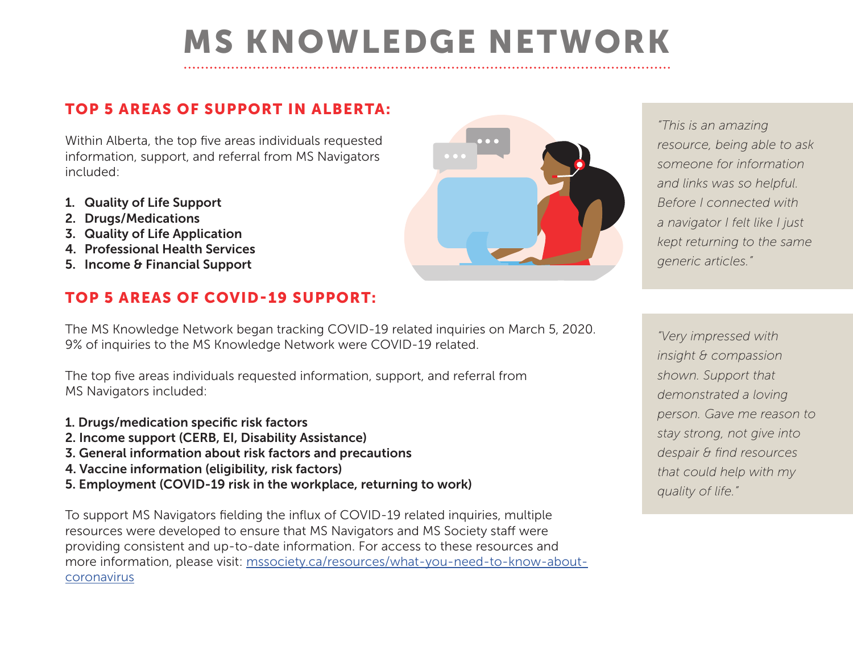# MS KNOWLEDGE NETWORK

#### TOP 5 AREAS OF SUPPORT IN ALBERTA:

Within Alberta, the top five areas individuals requested information, support, and referral from MS Navigators included:

- 1. Quality of Life Support
- 2. Drugs/Medications
- 3. Quality of Life Application
- 4. Professional Health Services
- 5. Income & Financial Support

#### TOP 5 AREAS OF COVID-19 SUPPORT:

The MS Knowledge Network began tracking COVID-19 related inquiries on March 5, 2020. 9% of inquiries to the MS Knowledge Network were COVID-19 related.

The top five areas individuals requested information, support, and referral from MS Navigators included:

- 1. Drugs/medication specific risk factors
- 2. Income support (CERB, EI, Disability Assistance)
- 3. General information about risk factors and precautions
- 4. Vaccine information (eligibility, risk factors)
- 5. Employment (COVID-19 risk in the workplace, returning to work)

To support MS Navigators fielding the influx of COVID-19 related inquiries, multiple resources were developed to ensure that MS Navigators and MS Society staff were providing consistent and up-to-date information. For access to these resources and more information, please visit: mssociety.ca/resources/what-you-need-to-know-aboutcoronavirus



*"This is an amazing resource, being able to ask someone for information and links was so helpful. Before I connected with a navigator I felt like I just kept returning to the same generic articles."*

*"Very impressed with insight & compassion shown. Support that demonstrated a loving person. Gave me reason to stay strong, not give into despair & find resources that could help with my quality of life."*